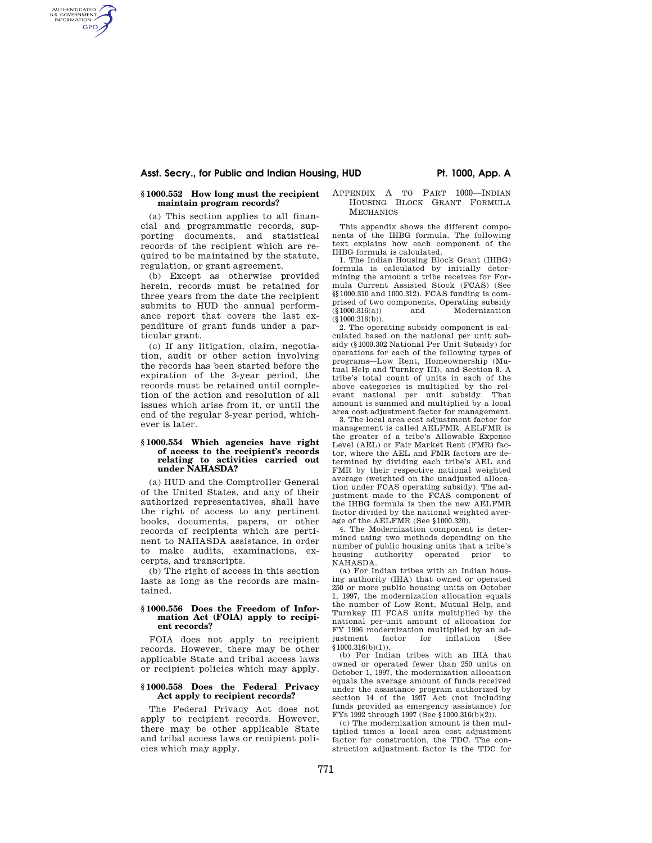# Asst. Secry., for Public and Indian Housing, HUD **Primition Primition** Pt. 1000, App. A

# **§ 1000.552 How long must the recipient maintain program records?**

AUTHENTICATED<br>U.S. GOVERNMENT<br>INFORMATION **GPO** 

> (a) This section applies to all financial and programmatic records, supporting documents, and statistical records of the recipient which are required to be maintained by the statute, regulation, or grant agreement.

> (b) Except as otherwise provided herein, records must be retained for three years from the date the recipient submits to HUD the annual performance report that covers the last expenditure of grant funds under a particular grant.

> (c) If any litigation, claim, negotiation, audit or other action involving the records has been started before the expiration of the 3-year period, the records must be retained until completion of the action and resolution of all issues which arise from it, or until the end of the regular 3-year period, whichever is later.

## **§ 1000.554 Which agencies have right of access to the recipient's records relating to activities carried out under NAHASDA?**

(a) HUD and the Comptroller General of the United States, and any of their authorized representatives, shall have the right of access to any pertinent books, documents, papers, or other records of recipients which are pertinent to NAHASDA assistance, in order to make audits, examinations, excerpts, and transcripts.

(b) The right of access in this section lasts as long as the records are maintained.

## **§ 1000.556 Does the Freedom of Information Act (FOIA) apply to recipient records?**

FOIA does not apply to recipient records. However, there may be other applicable State and tribal access laws or recipient policies which may apply.

## **§ 1000.558 Does the Federal Privacy Act apply to recipient records?**

The Federal Privacy Act does not apply to recipient records. However, there may be other applicable State and tribal access laws or recipient policies which may apply.

#### APPENDIX A TO PART 1000—INDIAN HOUSING BLOCK GRANT FORMULA **MECHANICS**

This appendix shows the different components of the IHBG formula. The following text explains how each component of the IHBG formula is calculated.

1. The Indian Housing Block Grant (IHBG) formula is calculated by initially determining the amount a tribe receives for Formula Current Assisted Stock (FCAS) (See §§1000.310 and 1000.312). FCAS funding is comprised of two components, Operating subsidy  $(\S 1000.316(a))$  and Modernization and Modernization  $(\S 1000.316(b))$ .

2. The operating subsidy component is calculated based on the national per unit subsidy (§1000.302 National Per Unit Subsidy) for operations for each of the following types of programs—Low Rent, Homeownership (Mutual Help and Turnkey III), and Section 8. A tribe's total count of units in each of the above categories is multiplied by the relevant national per unit subsidy. That amount is summed and multiplied by a local area cost adjustment factor for management.

3. The local area cost adjustment factor for management is called AELFMR. AELFMR is the greater of a tribe's Allowable Expense Level (AEL) or Fair Market Rent (FMR) factor, where the AEL and FMR factors are determined by dividing each tribe's AEL and FMR by their respective national weighted average (weighted on the unadjusted allocation under FCAS operating subsidy). The adjustment made to the FCAS component of the IHBG formula is then the new AELFMR factor divided by the national weighted average of the AELFMR (See §1000.320).

4. The Modernization component is determined using two methods depending on the number of public housing units that a tribe's housing authority operated prior to NAHASDA.

(a) For Indian tribes with an Indian housing authority (IHA) that owned or operated 250 or more public housing units on October 1, 1997, the modernization allocation equals the number of Low Rent, Mutual Help, and Turnkey III FCAS units multiplied by the national per-unit amount of allocation for FY 1996 modernization multiplied by an adjustment factor for inflation (See  $$1000.316(b)(1)).$ 

(b) For Indian tribes with an IHA that owned or operated fewer than 250 units on October 1, 1997, the modernization allocation equals the average amount of funds received under the assistance program authorized by section 14 of the 1937 Act (not including funds provided as emergency assistance) for FYs 1992 through 1997 (See §1000.316(b)(2)).

(c) The modernization amount is then multiplied times a local area cost adjustment factor for construction, the TDC. The construction adjustment factor is the TDC for